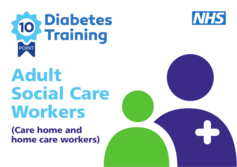

# Adult Social Care Workers

(Care home and home care workers)

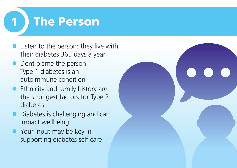## **The Person**

- $\bullet$  Listen to the person: they live with their diabetes 365 days a year
- Dont blame the person: Type 1 diabetes is an autoimmune condition
- $\bullet$  Ethnicity and family history are the strongest factors for Type 2 diabetes
- Diabetes is challenging and can impact wellbeing
- $\bullet$  Your input may be key in supporting diabetes self care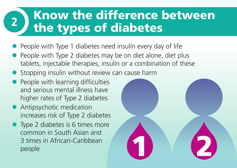## Know the difference between the types of diabetes

- People with Type 1 diabetes need insulin every day of life
- People with Type 2 diabetes may be on diet alone, diet plus tablets, injectable therapies, insulin or a combination of these
- $\bullet$  Stopping insulin without review can cause harm
- $\bullet$  People with learning difficulties and serious mental illness have higher rates of Type 2 diabetes
- **Antipsychotic medication** increases risk of Type 2 diabetes
- $\bullet$  Type 2 diabetes is 6 times more common in South Asian and 3 times in African-Caribbean people

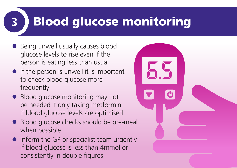## **Blood glucose monitoring**

- **•** Being unwell usually causes blood glucose levels to rise even if the person is eating less than usual
- $\bullet$  If the person is unwell it is important to check blood glucose more frequently
- Blood glucose monitoring may not be needed if only taking metformin if blood glucose levels are optimised
- Blood glucose checks should be pre-meal when possible
- $\bullet$  Inform the GP or specialist team urgently if blood glucose is less than 4mmol or consistently in double figures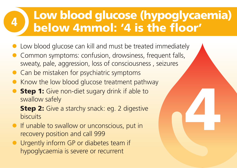### Low blood glucose (hypoglycaemia) 4) below 4mmol: '4 is the floor'

- Low blood glucose can kill and must be treated immediately
- Common symptoms: confusion, drowsiness, frequent falls, sweaty, pale, aggression, loss of consciousness , seizures
- Can be mistaken for psychiatric symptoms
- Know the low blood glucose treatment pathway
- **Step 1:** Give non-diet sugary drink if able to swallow safely
	- **Step 2:** Give a starchy snack: eg. 2 digestive biscuits
- If unable to swallow or unconscious, put in recovery position and call 999
- l Urgently inform GP or diabetes team if hypoglycaemia is severe or recurrent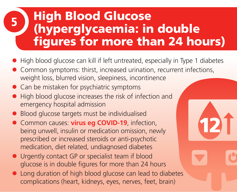#### 5 High Blood Glucose (hyperglycaemia: in double figures for more than 24 hours)

● High blood glucose can kill if left untreated, especially in Type 1 diabetes

12

- Common symptoms: thirst, increased urination, recurrent infections, weight loss, blurred vision, sleepiness, incontinence
- **c** Can be mistaken for psychiatric symptoms
- High blood glucose increases the risk of infection and emergency hospital admission
- Blood glucose targets must be individualised
- **Common causes: virus eg COVID-19, infection,** being unwell, insulin or medication omission, newly prescribed or increased steroids or anti-psychotic medication, diet related, undiagnosed diabetes
- **Urgently contact GP or specialist team if blood** glucose is in double figures for more than 24 hours
- l Long duration of high blood glucose can lead to diabetes complications (heart, kidneys, eyes, nerves, feet, brain)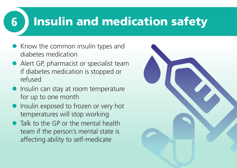## Insulin and medication safety

- $\bullet$  Know the common insulin types and diabetes medication
- Alert GP, pharmacist or specialist team if diabetes medication is stopped or refused
- **Insulin can stay at room temperature** for up to one month
- **.** Insulin exposed to frozen or very hot temperatures will stop working
- Talk to the GP or the mental health team if the person's mental state is affecting ability to self-medicate

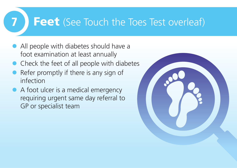#### **Feet** (See Touch the Toes Test overleaf)

- All people with diabetes should have a foot examination at least annually
- Check the feet of all people with diabetes
- Refer promptly if there is any sign of infection
- A foot ulcer is a medical emergency requiring urgent same day referral to GP or specialist team

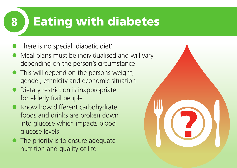## **Eating with diabetes**

- There is no special 'diabetic diet'
- l Meal plans must be individualised and will vary depending on the person's circumstance
- This will depend on the persons weight, gender, ethnicity and economic situation
- Dietary restriction is inappropriate for elderly frail people
- Know how different carbohydrate foods and drinks are broken down into glucose which impacts blood glucose levels
- The priority is to ensure adequate nutrition and quality of life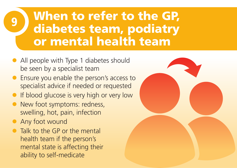#### When to refer to the GP, diabetes team, podiatry or mental health team

- All people with Type 1 diabetes should be seen by a specialist team
- l Ensure you enable the person's access to specialist advice if needed or requested
- **If blood glucose is very high or very low**
- New foot symptoms: redness, swelling, hot, pain, infection
- Any foot wound

9

Talk to the GP or the mental health team if the person's mental state is affecting their ability to self-medicate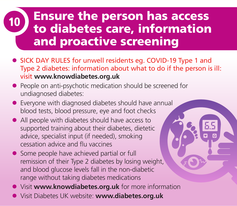#### Ensure the person has access to diabetes care, information and proactive screening 10

- **.** SICK DAY RULES for unwell residents eq. COVID-19 Type 1 and Type 2 diabetes: information about what to do if the person is ill: visit **[www.knowdiabetes.org.uk](http://www.knowdiabetes.org.uk)**
- People on anti-psychotic medication should be screened for undiagnosed diabetes:
- **•** Everyone with diagnosed diabetes should have annual blood tests, blood pressure, eye and foot checks
- All people with diabetes should have access to supported training about their diabetes, dietetic advice, specialist input (if needed), smoking cessation advice and flu vaccines
- **•** Some people have achieved partial or full remission of their Type 2 diabetes by losing weight, and blood glucose levels fall in the non-diabetic range without taking diabetes medications
- **.** Visit www.knowdiabetes.org.uk for more information
- l Visit Diabetes UK website: **www.diabetes.org.uk**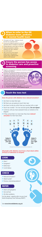## Touch the toes test

#### **Does the person with diabetes have reduced sensation?**

- Ask them to close their eyes
- Tell them you are going to touch their toes
- l Ask them to tell you which foot you touched, left or right
- l Touch toe number 1 for two seconds gently. *Do not repeat*
- l Continue until you have assessed 6 toes as marked on the diagram
- l If they cannot feel 2 or more toes they have *reduced sensation* for their foot check



(The Ipswich Touch Test reproduced with permission from Diabetes UK)

**All people with diabetes must have a foot check within 24 hours of admission to hospital**

#### LOOK

- $\bullet$  Ulcer?
- **Gangrene?**
- **·** Deformity?
- **Corn/Callous**

## **CHECK**

- **Reduced sensation?**
- **Absent pulse?**
- **•** Previous ulcers/amputations?

#### REFER

- **I** Ulcers and gangrene
- **Hot red foot**
- All other problems

For the above: urgently refer via your local Multi-Disciplinary Foot Pathway (MDFT)

See **www.knowdiabetes.org.uk**